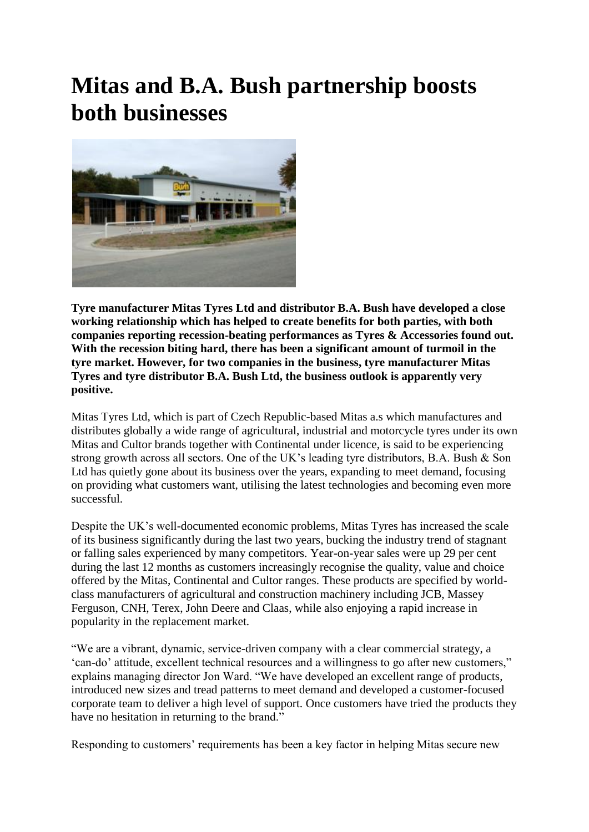## **Mitas and B.A. Bush partnership boosts both businesses**



**Tyre manufacturer Mitas Tyres Ltd and distributor B.A. Bush have developed a close working relationship which has helped to create benefits for both parties, with both companies reporting recession-beating performances as Tyres & Accessories found out. With the recession biting hard, there has been a significant amount of turmoil in the tyre market. However, for two companies in the business, tyre manufacturer Mitas Tyres and tyre distributor B.A. Bush Ltd, the business outlook is apparently very positive.** 

Mitas Tyres Ltd, which is part of Czech Republic-based Mitas a.s which manufactures and distributes globally a wide range of agricultural, industrial and motorcycle tyres under its own Mitas and Cultor brands together with Continental under licence, is said to be experiencing strong growth across all sectors. One of the UK"s leading tyre distributors, B.A. Bush & Son Ltd has quietly gone about its business over the years, expanding to meet demand, focusing on providing what customers want, utilising the latest technologies and becoming even more successful.

Despite the UK's well-documented economic problems, Mitas Tyres has increased the scale of its business significantly during the last two years, bucking the industry trend of stagnant or falling sales experienced by many competitors. Year-on-year sales were up 29 per cent during the last 12 months as customers increasingly recognise the quality, value and choice offered by the Mitas, Continental and Cultor ranges. These products are specified by worldclass manufacturers of agricultural and construction machinery including JCB, Massey Ferguson, CNH, Terex, John Deere and Claas, while also enjoying a rapid increase in popularity in the replacement market.

"We are a vibrant, dynamic, service-driven company with a clear commercial strategy, a "can-do" attitude, excellent technical resources and a willingness to go after new customers," explains managing director Jon Ward. "We have developed an excellent range of products, introduced new sizes and tread patterns to meet demand and developed a customer-focused corporate team to deliver a high level of support. Once customers have tried the products they have no hesitation in returning to the brand."

Responding to customers' requirements has been a key factor in helping Mitas secure new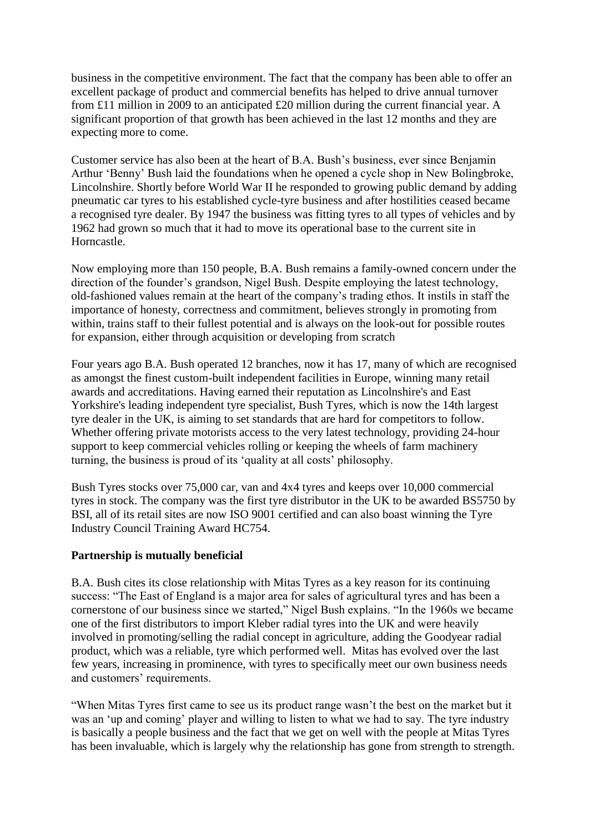business in the competitive environment. The fact that the company has been able to offer an excellent package of product and commercial benefits has helped to drive annual turnover from £11 million in 2009 to an anticipated £20 million during the current financial year. A significant proportion of that growth has been achieved in the last 12 months and they are expecting more to come.

Customer service has also been at the heart of B.A. Bush"s business, ever since Benjamin Arthur "Benny" Bush laid the foundations when he opened a cycle shop in New Bolingbroke, Lincolnshire. Shortly before World War II he responded to growing public demand by adding pneumatic car tyres to his established cycle-tyre business and after hostilities ceased became a recognised tyre dealer. By 1947 the business was fitting tyres to all types of vehicles and by 1962 had grown so much that it had to move its operational base to the current site in Horncastle.

Now employing more than 150 people, B.A. Bush remains a family-owned concern under the direction of the founder"s grandson, Nigel Bush. Despite employing the latest technology, old-fashioned values remain at the heart of the company"s trading ethos. It instils in staff the importance of honesty, correctness and commitment, believes strongly in promoting from within, trains staff to their fullest potential and is always on the look-out for possible routes for expansion, either through acquisition or developing from scratch

Four years ago B.A. Bush operated 12 branches, now it has 17, many of which are recognised as amongst the finest custom-built independent facilities in Europe, winning many retail awards and accreditations. Having earned their reputation as Lincolnshire's and East Yorkshire's leading independent tyre specialist, Bush Tyres, which is now the 14th largest tyre dealer in the UK, is aiming to set standards that are hard for competitors to follow. Whether offering private motorists access to the very latest technology, providing 24-hour support to keep commercial vehicles rolling or keeping the wheels of farm machinery turning, the business is proud of its 'quality at all costs' philosophy.

Bush Tyres stocks over 75,000 car, van and 4x4 tyres and keeps over 10,000 commercial tyres in stock. The company was the first tyre distributor in the UK to be awarded BS5750 by BSI, all of its retail sites are now ISO 9001 certified and can also boast winning the Tyre Industry Council Training Award HC754.

## **Partnership is mutually beneficial**

B.A. Bush cites its close relationship with Mitas Tyres as a key reason for its continuing success: "The East of England is a major area for sales of agricultural tyres and has been a cornerstone of our business since we started," Nigel Bush explains. "In the 1960s we became one of the first distributors to import Kleber radial tyres into the UK and were heavily involved in promoting/selling the radial concept in agriculture, adding the Goodyear radial product, which was a reliable, tyre which performed well. Mitas has evolved over the last few years, increasing in prominence, with tyres to specifically meet our own business needs and customers' requirements.

"When Mitas Tyres first came to see us its product range wasn"t the best on the market but it was an 'up and coming' player and willing to listen to what we had to say. The tyre industry is basically a people business and the fact that we get on well with the people at Mitas Tyres has been invaluable, which is largely why the relationship has gone from strength to strength.